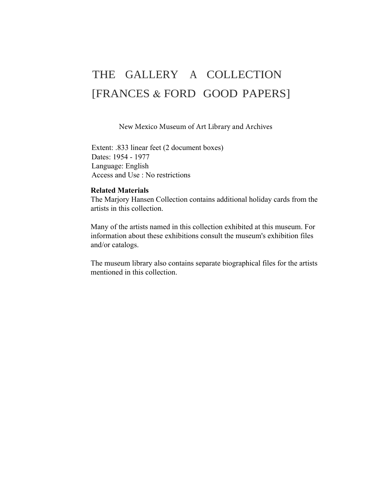# THE GALLERY A COLLECTION [FRANCES & FORD GOOD PAPERS]

New Mexico Museum of Art Library and Archives

Extent: .833 linear feet (2 document boxes) Dates: 1954 - 1977 Language: English Access and Use : No restrictions

# **Related Materials**

The Marjory Hansen Collection contains additional holiday cards from the artists in this collection.

Many of the artists named in this collection exhibited at this museum. For information about these exhibitions consult the museum's exhibition files and/or catalogs.

The museum library also contains separate biographical files for the artists mentioned in this collection.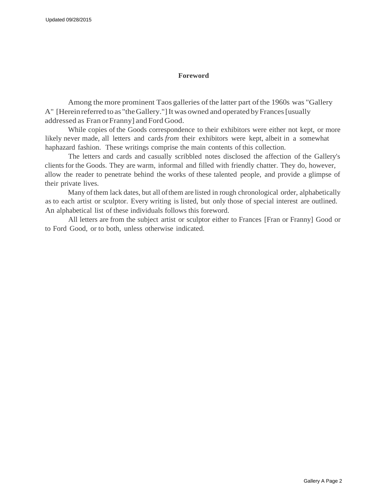#### **Foreword**

Among the more prominent Taos galleries of the latter part of the 1960s was "Gallery A" [Herein referred to as "the Gallery."] It was owned and operated by Frances [usually addressed as Fran orFranny] and Ford Good.

While copies of the Goods correspondence to their exhibitors were either not kept, or more likely never made, all letters and cards *from* their exhibitors were kept, albeit in a somewhat haphazard fashion. These writings comprise the main contents of this collection.

The letters and cards and casually scribbled notes disclosed the affection of the Gallery's clients for the Goods. They are warm, informal and filled with friendly chatter. They do, however, allow the reader to penetrate behind the works of these talented people, and provide a glimpse of their private lives.

Many of them lack dates, but all of them are listed in rough chronological order, alphabetically as to each artist or sculptor. Every writing is listed, but only those of special interest are outlined. An alphabetical list of these individuals follows this foreword.

All letters are from the subject artist or sculptor either to Frances [Fran or Franny] Good or to Ford Good, or to both, unless otherwise indicated.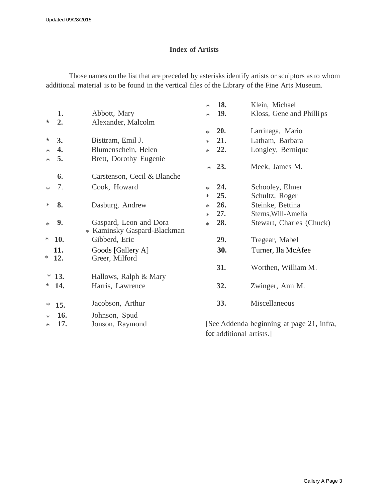# **Index of Artists**

Those names on the list that are preceded by asterisks identify artists or sculptors asto whom additional material is to be found in the vertical files of the Library of the Fine Arts Museum.

|          |            |                                                       | 18.<br>$\ast$ | Klein, Michael                            |
|----------|------------|-------------------------------------------------------|---------------|-------------------------------------------|
|          | 1.         | Abbott, Mary                                          | 19.<br>$\ast$ | Kloss, Gene and Phillips                  |
| $^\star$ | 2.         | Alexander, Malcolm                                    |               |                                           |
|          |            |                                                       | 20.<br>$\ast$ | Larrinaga, Mario                          |
| *        | 3.         | Bisttram, Emil J.                                     | 21.<br>$\ast$ | Latham, Barbara                           |
| $\ast$   | 4.         | Blumenschein, Helen                                   | 22.<br>$\ast$ | Longley, Bernique                         |
| $\ast$   | 5.         | Brett, Dorothy Eugenie                                |               |                                           |
|          |            |                                                       | 23.<br>$*$    | Meek, James M.                            |
|          | 6.         | Carstenson, Cecil & Blanche                           |               |                                           |
| $\ast$   | 7.         | Cook, Howard                                          | 24.<br>$\ast$ | Schooley, Elmer                           |
|          |            |                                                       | 25.<br>$\ast$ | Schultz, Roger                            |
| ∗        | 8.         | Dasburg, Andrew                                       | 26.<br>$\ast$ | Steinke, Bettina                          |
|          |            |                                                       | 27.<br>$\ast$ | Sterns, Will-Amelia                       |
| $\ast$   | 9.         | Gaspard, Leon and Dora<br>* Kaminsky Gaspard-Blackman | 28.<br>$*$    | Stewart, Charles (Chuck)                  |
| *        | 10.        | Gibberd, Eric                                         | 29.           | Tregear, Mabel                            |
| ∗        | 11.<br>12. | Goods [Gallery A]<br>Greer, Milford                   | 30.           | Turner, Ila McAfee                        |
|          |            |                                                       | 31.           | Worthen, William M.                       |
| ∗        | 13.        | Hallows, Ralph & Mary                                 |               |                                           |
| ∗        | 14.        | Harris, Lawrence                                      | 32.           | Zwinger, Ann M.                           |
| ∗        | 15.        | Jacobson, Arthur                                      | 33.           | Miscellaneous                             |
| $\ast$   | 16.        | Johnson, Spud                                         |               |                                           |
| $\ast$   | 17.        | Jonson, Raymond                                       |               | [See Addenda beginning at page 21, infra, |
|          |            |                                                       |               | for additional artists.]                  |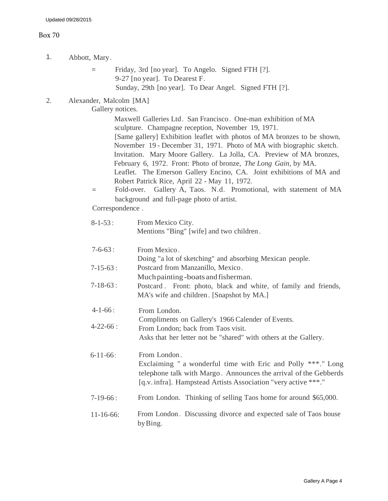#### Box 70

- 1. Abbott, Mary.
	- = Friday, 3rd [no year]. To Angelo. Signed FTH [?]. 9-27 [no year]. To Dearest F. Sunday, 29th [no year]. To Dear Angel. Signed FTH [?].
- 2. Alexander, Malcolm [MA]

Gallery notices.

Maxwell Galleries Ltd. San Francisco. One-man exhibition of MA sculpture. Champagne reception, November 19, 1971. [Same gallery] Exhibition leaflet with photos of MA bronzes to be shown, November 19 - December 31, 1971. Photo of MA with biographic sketch. Invitation. Mary Moore Gallery. La Jolla, CA. Preview of MA bronzes, February 6, 1972. Front: Photo of bronze, *The Long Gain,* by MA. Leaflet. The Emerson Gallery Encino, CA. Joint exhibitions of MA and Robert Patrick Rice, April 22 - May 11, 1972.

= Fold-over. Gallery A, Taos. N.d. Promotional, with statement of MA background and full-page photo of artist.

Correspondence .

| $8 - 1 - 53$ :   | From Mexico City.<br>Mentions "Bing" [wife] and two children.                                                                                                                                                      |
|------------------|--------------------------------------------------------------------------------------------------------------------------------------------------------------------------------------------------------------------|
| $7 - 6 - 63$ :   | From Mexico.<br>Doing "a lot of sketching" and absorbing Mexican people.                                                                                                                                           |
| $7 - 15 - 63$ :  | Postcard from Manzanillo, Mexico.<br>Much painting-boats and fisherman.                                                                                                                                            |
| $7 - 18 - 63$ :  | Postcard. Front: photo, black and white, of family and friends,<br>MA's wife and children. [Snapshot by MA.]                                                                                                       |
| $4 - 1 - 66$ :   | From London.                                                                                                                                                                                                       |
| $4 - 22 - 66$ :  | Compliments on Gallery's 1966 Calender of Events.<br>From London; back from Taos visit.<br>Asks that her letter not be "shared" with others at the Gallery.                                                        |
| $6 - 11 - 66$ :  | From London.<br>Exclaiming " a wonderful time with Eric and Polly ***." Long<br>telephone talk with Margo. Announces the arrival of the Gebberds<br>[q.v. infra]. Hampstead Artists Association "very active ***." |
| $7-19-66:$       | From London. Thinking of selling Taos home for around \$65,000.                                                                                                                                                    |
| $11 - 16 - 66$ : | From London. Discussing divorce and expected sale of Taos house<br>by Bing.                                                                                                                                        |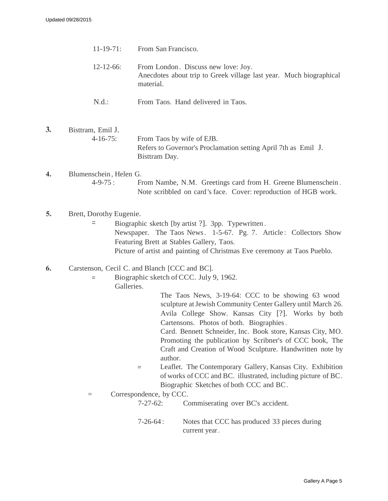- 11-19-71: From San Francisco. 12-12-66: From London . Discuss new love: Joy. Anecdotes about trip to Greek village last year. Much biographical material.
	- N.d.: From Taos. Hand delivered in Taos.
- **3.** Bisttram, Emil J. 4-16-75: From Taos by wife of EJB. Refers to Governor's Proclamation setting April 7th as Emil J. Bisttram Day.
- **4.** Blumenschein , Helen G. 4-9-75 : From Nambe, N.M. Greetings card from H. Greene Blumenschein . Note scribbled on card 's face. Cover: reproduction of HGB work.
- **5.** Brett, Dorothy Eugenie.
	- = Biographic sketch [by artist ?]. 3pp. Typewritten . Newspaper. The Taos News. 1-5-67. Pg. 7. Article: Collectors Show Featuring Brett at Stables Gallery, Taos. Picture of artist and painting of Christmas Eve ceremony at Taos Pueblo.

### **6.** Carstenson, Cecil C. and Blanch [CCC and BC].

- = Biographic sketch of CCC. July 9, 1962.
	- Galleries.

The Taos News, 3-19-64: CCC to be showing 63 wood sculpture at Jewish Community Center Gallery until March 26. Avila College Show. Kansas City [?]. Works by both Cartensons. Photos of both. Biographies .

Card. Bennett Schneider, Inc. Book store, Kansas City, MO. Promoting the publication by Scribner's of CCC book, The Craft and Creation of Wood Sculpture. Handwritten note by author.

- = Leaflet. The Contemporary Gallery, Kansas City. Exhibition of works of CCC and BC. illustrated, including picture of BC. Biographic Sketches of both CCC and BC.
- = Correspondence, by CCC.

7-27-62: Commiserating over BC's accident.

7-26-64 : Notes that CCC has produced 33 pieces during current year .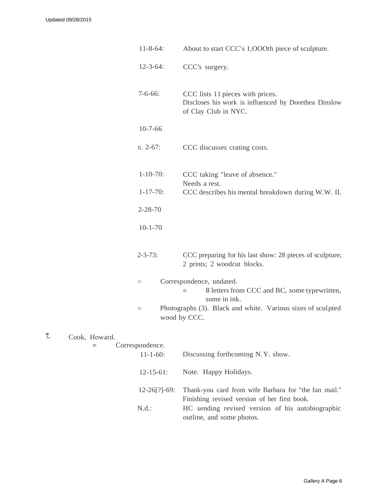| $11 - 8 - 64$ : | About to start CCC's 1,000th piece of sculpture.                                                                 |
|-----------------|------------------------------------------------------------------------------------------------------------------|
| $12 - 3 - 64$ : | CCC's surgery.                                                                                                   |
| $7 - 6 - 66$ :  | CCC lists 11 pieces with prices.<br>Discloses his work is influenced by Dorethea Dinslow<br>of Clay Club in NYC. |
| $10-7-66$       |                                                                                                                  |
| c. $2-67$ :     | CCC discusses crating costs.                                                                                     |
| $1 - 10 - 70$ : | CCC taking "leave of absence."<br>Needs a rest.                                                                  |
| $1 - 17 - 70$ : | CCC describes his mental breakdown during W.W. II.                                                               |
| $2 - 28 - 70$   |                                                                                                                  |
| $10 - 1 - 70$   |                                                                                                                  |
| $2 - 3 - 73$ :  | CCC preparing for his last show: 28 pieces of sculpture;<br>2 prints; 2 woodcut blocks.                          |
| $=$             | Correspondence, undated.<br>8 letters from CCC and BC, some typewritten,<br>$=$<br>some in ink.                  |
| $=$             | Photographs (3). Black and white. Various sizes of sculpted<br>wood by CCC.                                      |
| espondence.     |                                                                                                                  |
|                 |                                                                                                                  |

|  | Cook, Howard. |            |
|--|---------------|------------|
|  |               | Correspond |

| $11 - 1 - 60$ :   | Discussing forthcoming N.Y. show.                                                                    |
|-------------------|------------------------------------------------------------------------------------------------------|
| $12 - 15 - 61$ :  | Note. Happy Holidays.                                                                                |
| $12 - 26$ [?]-69: | Thank-you card from wife Barbara for "the fan mail."<br>Finishing revised version of her first book. |
| N.d.:             | HC sending revised version of his autobiographic<br>outline, and some photos.                        |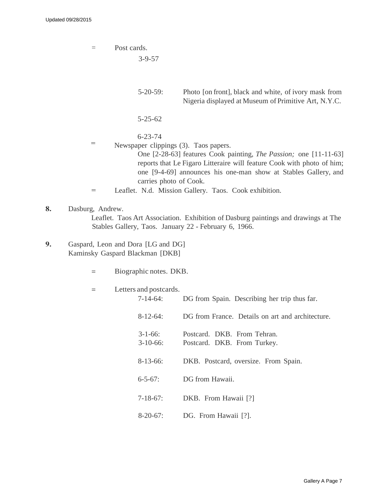= Post cards. 3-9-57 5-20-59: Photo [on front], black and white, of ivory mask from Nigeria displayed at Museum of Primitive Art, N.Y.C. 5-25-62 6-23-74 Newspaper clippings (3). Taos papers. One [2-28-63] features Cook painting, *The Passion;* one [11-11-63] reports that Le Figaro Litteraire will feature Cook with photo of him; one [9-4-69] announces his one-man show at Stables Gallery, and carries photo of Cook. Leaflet. N.d. Mission Gallery. Taos. Cook exhibition. =  $=$ 

- **8.** Dasburg, Andrew. Leaflet. Taos Art Association. Exhibition of Dasburg paintings and drawings at The Stables Gallery, Taos. January 22 - February 6, 1966.
- **9.** Gaspard, Leon and Dora [LG and DG] Kaminsky Gaspard Blackman [DKB]
	- = Biographic notes. DKB.

| Letters and postcards. |                                                  |
|------------------------|--------------------------------------------------|
| $7-14-64:$             | DG from Spain. Describing her trip thus far.     |
| $8-12-64$ :            | DG from France. Details on art and architecture. |
| $3 - 1 - 66$           | Postcard. DKB. From Tehran.                      |
| $3-10-66$ :            | Postcard. DKB. From Turkey.                      |
|                        |                                                  |
| $8-13-66$ :            | DKB. Postcard, oversize. From Spain.             |
| $6 - 5 - 67$ :         | DG from Hawaii.                                  |
|                        |                                                  |
| $7 - 18 - 67$ :        | DKB. From Hawaii [?]                             |
| $8-20-67$ :            | DG. From Hawaii [?].                             |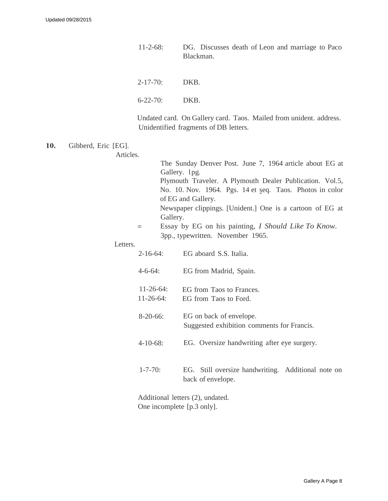- 11-2-68: DG. Discusses death of Leon and marriage to Paco Blackman.
- 2-17-70: DKB.
- 6-22-70: DKB.

Undated card. On Gallery card. Taos. Mailed from unident. address. Unidentified fragments of DB letters.

**10.** Gibberd, Eric [EG].

The Sunday Denver Post. June 7, 1964 article about EG at Gallery. lpg. Plymouth Traveler. A Plymouth Dealer Publication. Vol.5, No. 10. Nov. 1964. Pgs. 14 et seq. Taos. Photos in color of EG and Gallery. Newspaper clippings. [Unident.] One is a cartoon of EG at Gallery.

= Essay by EG on his painting, *I Should Like To Know.* 3pp., typewritten. November 1965.

Letters.

Articles.

| $2 - 16 - 64$                    | EG aboard S.S. Italia.                                                  |  |
|----------------------------------|-------------------------------------------------------------------------|--|
| $4 - 6 - 64$ :                   | EG from Madrid, Spain.                                                  |  |
| $11 - 26 - 64$<br>$11 - 26 - 64$ | EG from Taos to Frances.<br>EG from Taos to Ford.                       |  |
| $8-20-66$ :                      | EG on back of envelope.<br>Suggested exhibition comments for Francis.   |  |
| $4 - 10 - 68$ :                  | EG. Oversize handwriting after eye surgery.                             |  |
| $1 - 7 - 70$ :                   | EG. Still oversize handwriting. Additional note on<br>back of envelope. |  |
| Additional letters (2), undated. |                                                                         |  |

One incomplete [p.3 only].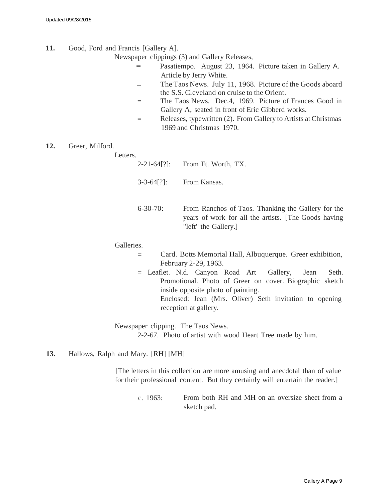- **11.** Good, Ford and Francis [Gallery A].
	- Newspaper clippings (3) and Gallery Releases,
		- Pasatiempo. August 23, 1964. Picture taken in Gallery A. Article by Jerry White.  $=$
		- The Taos News. July 11, 1968. Picture of the Goods aboard the S.S. Cleveland on cruise to the Orient. =
		- = The Taos News. Dec.4, 1969. Picture of Frances Good in Gallery A, seated in front of Eric Gibberd works.
		- = Releases, typewritten (2). From Gallery to Artists at Christmas 1969 and Christmas 1970.
- **12.** Greer, Milford.

| Letters. |                    |                                                                                                                                    |
|----------|--------------------|------------------------------------------------------------------------------------------------------------------------------------|
|          | $2 - 21 - 64$ [?]: | From Ft. Worth, TX.                                                                                                                |
|          | $3 - 3 - 64$ [?]:  | From Kansas.                                                                                                                       |
|          | $6 - 30 - 70$ :    | From Ranchos of Taos. Thanking the Gallery for the<br>years of work for all the artists. [The Goods having<br>"left" the Gallery.] |

Galleries.

- = Card. Botts Memorial Hall, Albuquerque. Greer exhibition, February 2-29, 1963.
- = Leaflet. N.d. Canyon Road Art Gallery, Jean Seth. Promotional. Photo of Greer on cover. Biographic sketch inside opposite photo of painting. Enclosed: Jean (Mrs. Oliver) Seth invitation to opening reception at gallery.

Newspaper clipping. The Taos News. 2-2-67. Photo of artist with wood Heart Tree made by him.

**13.** Hallows, Ralph and Mary. [RH] [MH]

[The letters in this collection are more amusing and anecdotal than of value for their professional content. But they certainly will entertain the reader.]

c. 1963: From both RH and MH on an oversize sheet from a sketch pad.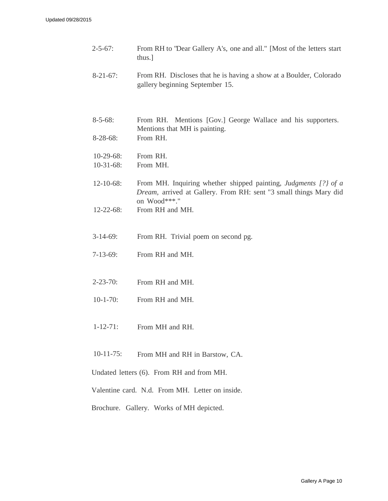| $2 - 5 - 67$ :                            | From RH to "Dear Gallery A's, one and all." [Most of the letters start<br>thus.]                                                                     |  |
|-------------------------------------------|------------------------------------------------------------------------------------------------------------------------------------------------------|--|
| $8-21-67$ :                               | From RH. Discloses that he is having a show at a Boulder, Colorado<br>gallery beginning September 15.                                                |  |
|                                           |                                                                                                                                                      |  |
| $8 - 5 - 68$ :<br>$8-28-68$ :             | Mentions [Gov.] George Wallace and his supporters.<br>From RH.<br>Mentions that MH is painting.<br>From RH.                                          |  |
|                                           |                                                                                                                                                      |  |
| $10-29-68$ :<br>$10-31-68$ :              | From RH.<br>From MH.                                                                                                                                 |  |
| $12 - 10 - 68$ :                          | From MH. Inquiring whether shipped painting, Judgments [?] of a<br>Dream, arrived at Gallery. From RH: sent "3 small things Mary did<br>on Wood***." |  |
| $12 - 22 - 68$ :                          | From RH and MH.                                                                                                                                      |  |
| $3-14-69$ :                               | From RH. Trivial poem on second pg.                                                                                                                  |  |
| $7-13-69$ :                               | From RH and MH.                                                                                                                                      |  |
| $2 - 23 - 70$ :                           | From RH and MH.                                                                                                                                      |  |
| $10-1-70$ :                               | From RH and MH.                                                                                                                                      |  |
| $1 - 12 - 71$ :                           | From MH and RH.                                                                                                                                      |  |
| $10-11-75$ :                              | From MH and RH in Barstow, CA.                                                                                                                       |  |
| Undated letters (6). From RH and from MH. |                                                                                                                                                      |  |
|                                           | Valentine card. N.d. From MH. Letter on inside.                                                                                                      |  |
|                                           | Brochure. Gallery. Works of MH depicted.                                                                                                             |  |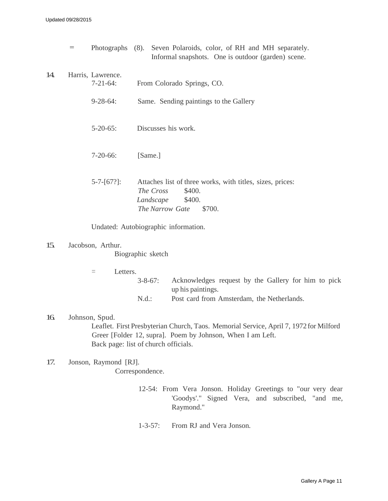|     | $\qquad \qquad =$ |                                      | Photographs (8). Seven Polaroids, color, of RH and MH separately.<br>Informal snapshots. One is outdoor (garden) scene.              |
|-----|-------------------|--------------------------------------|--------------------------------------------------------------------------------------------------------------------------------------|
| 14. |                   | Harris, Lawrence.<br>$7 - 21 - 64$ : | From Colorado Springs, CO.                                                                                                           |
|     |                   | $9 - 28 - 64$ :                      | Same. Sending paintings to the Gallery                                                                                               |
|     |                   | $5 - 20 - 65$ :                      | Discusses his work.                                                                                                                  |
|     |                   | $7-20-66$ :                          | [Same.]                                                                                                                              |
|     |                   | $5 - 7 - [67$ :                      | Attaches list of three works, with titles, sizes, prices:<br>The Cross<br>\$400.<br>\$400.<br>Landscape<br>The Narrow Gate<br>\$700. |

Undated: Autobiographic information.

15. Jacobson, Arthur.

Biographic sketch

- = Letters.
	- 3-8-67: Acknowledges request by the Gallery for him to pick up his paintings.
	- N.d.: Post card from Amsterdam, the Netherlands.
- 16. Johnson, Spud. Leaflet. First Presbyterian Church, Taos. Memorial Service, April 7, 1972 for Milford Greer [Folder 12, supra]. Poem by Johnson, When I am Left. Back page: list of church officials.
- 17. Jonson, Raymond [RJ]. Correspondence.
	- 12-54: From Vera Jonson. Holiday Greetings to "our very dear 'Goodys'." Signed Vera, and subscribed, "and me, Raymond."
	- 1-3-57: From RJ and Vera Jonson.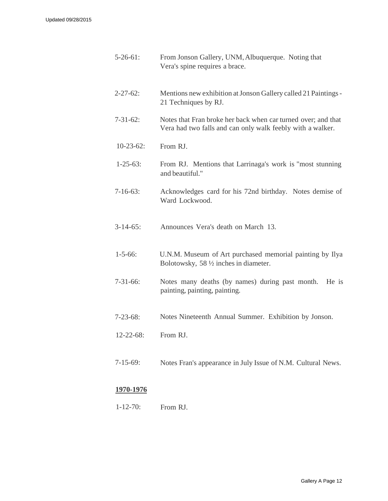| $5-26-61$ :      | From Jonson Gallery, UNM, Albuquerque. Noting that<br>Vera's spine requires a brace.                                        |
|------------------|-----------------------------------------------------------------------------------------------------------------------------|
| $2 - 27 - 62$ :  | Mentions new exhibition at Jonson Gallery called 21 Paintings -<br>21 Techniques by RJ.                                     |
| $7-31-62$ :      | Notes that Fran broke her back when car turned over; and that<br>Vera had two falls and can only walk feebly with a walker. |
| $10-23-62$ :     | From RJ.                                                                                                                    |
| $1 - 25 - 63$ :  | From RJ. Mentions that Larrinaga's work is "most stunning<br>and beautiful."                                                |
| $7-16-63$ :      | Acknowledges card for his 72nd birthday. Notes demise of<br>Ward Lockwood.                                                  |
| $3-14-65$ :      | Announces Vera's death on March 13.                                                                                         |
| $1 - 5 - 66$ :   | U.N.M. Museum of Art purchased memorial painting by Ilya<br>Bolotowsky, 58 1/2 inches in diameter.                          |
| $7-31-66$ :      | Notes many deaths (by names) during past month.<br>He is<br>painting, painting, painting.                                   |
| $7 - 23 - 68$ :  | Notes Nineteenth Annual Summer. Exhibition by Jonson.                                                                       |
| $12 - 22 - 68$ : | From RJ.                                                                                                                    |
| $7 - 15 - 69$ :  | Notes Fran's appearance in July Issue of N.M. Cultural News.                                                                |

# **1970-1976**

1-12-70: From RJ.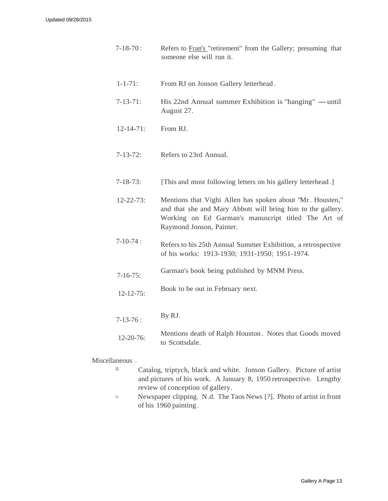- 7-18-70 : Refers to Fran's "retirement" from the Gallery; presuming that someone else will run it.
- 1-1-71: From RJ on Jonson Gallery letterhead .
- 7-13-71: His 22nd Annual summer Exhibition is "hanging"  $-$  until August 27.
- 12-14-71: From RJ.
- 7-13-72: Refers to 23rd Annual.
- 7-18-73: [This and most following letters on his gallery letterhead .]
- 12-22-73: Mentions that Vighi Allen has spoken about "Mr. Housten," and that she and Mary Abbott will bring him to the gallery. Working on Ed Garman's manuscript titled The Art of Raymond Jonson, Painter.
- 7-10-74 : Refers to his 25th Annual Summer Exhibition, a retrospective of his works: 1913-1930; 1931-1950; 1951-1974.
- 7-16-75: Garman's book being published by MNM Press.
- 12-12-75: Book to be out in February next.
- 7-13-76 : 12-20-76: By RJ. Mentions death of Ralph Houston . Notes that Goods moved to Scottsdale.

Miscellaneous .

- = Catalog, triptych, black and white. Jonson Gallery. Picture of artist and pictures of his work. A January 8, 1950 retrospective. Lengthy review of conception of gallery.
- = Newspaper clipping. N.d. The Taos News [?]. Photo of artist in front of his 1960 painting .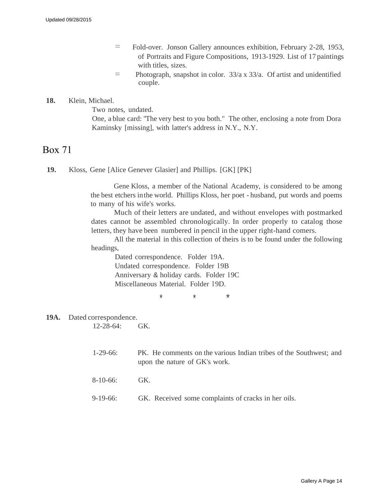- = Fold-over. Jonson Gallery announces exhibition, February 2-28, 1953, of Portraits and Figure Compositions, 1913-1929. List of 17 paintings with titles, sizes.
- $=$  Photograph, snapshot in color.  $33/a$  x  $33/a$ . Of artist and unidentified couple.

# **18.** Klein, Michael.

Two notes, undated.

One, a blue card: "The very best to you both." The other, enclosing a note from Dora Kaminsky [missing], with latter's address in N.Y., N.Y.

# Box 71

**19.** Kloss, Gene [Alice Genever Glasier] and Phillips. [GK] [PK]

Gene Kloss, a member of the National Academy, is considered to be among the best etchers in the world. Phillips Kloss, her poet - husband, put words and poems to many of his wife's works.

Much of their letters are undated, and without envelopes with postmarked dates cannot be assembled chronologically. In order properly to catalog those letters, they have been numbered in pencil in the upper right-hand comers.

All the material in this collection of theirs is to be found under the following headings,

Dated correspondence. Folder 19A. Undated correspondence. Folder 19B Anniversary & holiday cards. Folder 19C Miscellaneous Material. Folder 19D.

\* \* \*

### **19A.** Dated correspondence.

12-28-64: GK.

- 1-29-66: PK. He comments on the various Indian tribes of the Southwest; and upon the nature of GK's work.
- 8-10-66: GK.
- 9-19-66: GK. Received some complaints of cracks in her oils.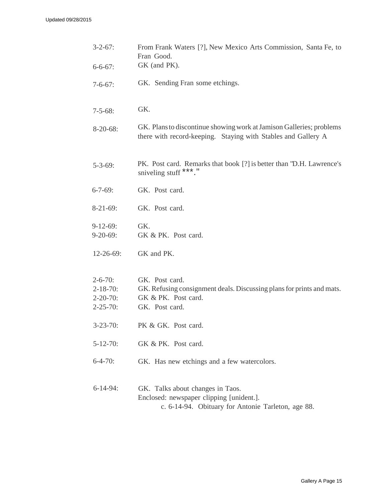| $3 - 2 - 67$ :                                                          | From Frank Waters [?], New Mexico Arts Commission, Santa Fe, to<br>Fran Good.                                                         |
|-------------------------------------------------------------------------|---------------------------------------------------------------------------------------------------------------------------------------|
| $6 - 6 - 67$ :                                                          | GK (and PK).                                                                                                                          |
| $7 - 6 - 67$ :                                                          | GK. Sending Fran some etchings.                                                                                                       |
| $7 - 5 - 68$ :                                                          | GK.                                                                                                                                   |
| $8-20-68$ :                                                             | GK. Plans to discontinue showing work at Jamison Galleries; problems<br>there with record-keeping. Staying with Stables and Gallery A |
| $5 - 3 - 69$ :                                                          | PK. Post card. Remarks that book [?] is better than "D.H. Lawrence's<br>sniveling stuff ***."                                         |
| $6 - 7 - 69$ :                                                          | GK. Post card.                                                                                                                        |
| $8-21-69$ :                                                             | GK. Post card.                                                                                                                        |
| $9-12-69$ :<br>$9-20-69:$                                               | GK.<br>GK & PK. Post card.                                                                                                            |
| $12-26-69$ :                                                            | GK and PK.                                                                                                                            |
| $2 - 6 - 70$ :<br>$2 - 18 - 70$ :<br>$2 - 20 - 70$ :<br>$2 - 25 - 70$ : | GK. Post card.<br>GK. Refusing consignment deals. Discussing plans for prints and mats.<br>GK & PK. Post card.<br>GK. Post card.      |
| $3 - 23 - 70$ :                                                         | PK & GK. Post card.                                                                                                                   |
| $5 - 12 - 70$ :                                                         | GK & PK. Post card.                                                                                                                   |
| $6 - 4 - 70$ :                                                          | GK. Has new etchings and a few watercolors.                                                                                           |
| $6-14-94$ :                                                             | GK. Talks about changes in Taos.<br>Enclosed: newspaper clipping [unident.].<br>c. 6-14-94. Obituary for Antonie Tarleton, age 88.    |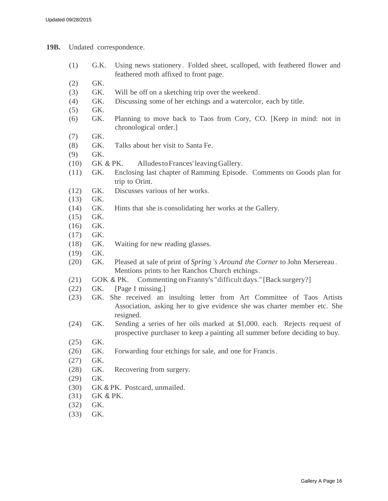**19B.** Undated correspondence.

- (1) G.K. Using news stationery. Folded sheet, scalloped, with feathered flower and feathered moth affixed to front page.
- (2) GK.
- (3) GK. Will be off on a sketching trip over the weekend .
- (4) GK. Discussing some of her etchings and a watercolor, each by title.
- (5) GK.
- (6) GK. Planning to move back to Taos from Cory, CO. [Keep in mind: not in chronological order.]
- (7) GK.
- (8) GK. Talks about her visit to Santa Fe.
- (9) GK.
- (10) GK & PK. Alludes to Frances' leaving Gallery.
- (11) GK. Enclosing last chapter of Ramming Episode. Comments on Goods plan for trip to Orint.
- (12) GK. Discusses various of her works.
- (13) GK.
- (14) GK. Hints that she is consolidating her works at the Gallery.
- (15) GK.
- (16) GK.
- (17) GK.
- (18) GK. Waiting for new reading glasses.
- (19) GK.
- (20) GK. Pleased at sale of print of *Spring 's Around the Corner* to John Mersereau . Mentions prints to her Ranchos Church etchings.
- (21) GOK & PK. Commenting on Franny's "difficult days." [Back surgery?]
- (22) GK. [Page I missing.]
- (23) GK. She received an insulting letter from Art Committee of Taos Artists Association, asking her to give evidence she was charter member etc. She resigned.
- (24) GK. Sending a series of her oils marked at \$1,000. each. Rejects req uest of prospective purchaser to keep a painting all summer before deciding to buy.
- (25) GK.
- (26) GK. Forwarding four etchings for sale, and one for Francis.
- (27) GK.
- (28) GK. Recovering from surgery.
- (29) GK.
- (30) GK & PK. Postcard, unmailed.
- (31) GK & PK.
- (32) GK.
- (33) GK.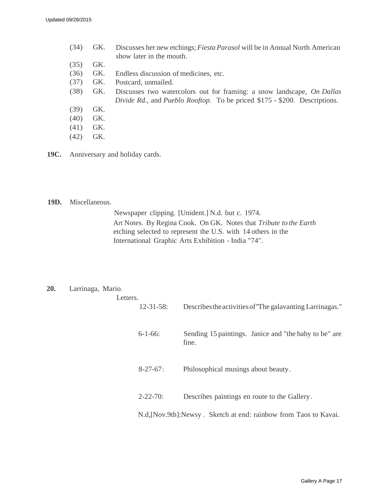| (34) | GK. | Discusses her new etchings; <i>Fiesta Parasol</i> will be in Annual North American |
|------|-----|------------------------------------------------------------------------------------|
|      |     | show later in the mouth.                                                           |
| (35) | GK. |                                                                                    |
| (36) | GK. | Endless discussion of medicines, etc.                                              |
| (37) | GK. | Postcard, unmailed.                                                                |
| (38) | GK. | Discusses two watercolors out for framing: a snow landscape, <i>On Dallas</i>      |
|      |     | Divide Rd., and Pueblo Rooftop. To be priced \$175 - \$200. Descriptions.          |
| (39) | GK. |                                                                                    |
| (40) | GK. |                                                                                    |
| (41) | GK. |                                                                                    |
| (42) | GK. |                                                                                    |

**19C.** Anniversary and holiday cards.

## **19D.** Miscellaneous.

Newspaper clipping. [Unident.] N.d. but c. 1974. Art Notes. By Regina Cook. On GK. Notes that *Tribute to the Earth* etching selected to represent the U.S. with 14 others in the International Graphic Arts Exhibition - India "74".

#### **20.** Larrinaga, Mario.

| Letters. |                  |                                                                   |  |
|----------|------------------|-------------------------------------------------------------------|--|
|          | $12 - 31 - 58$ : | Describes the activities of "The galavanting Larrinagas."         |  |
|          | $6 - 1 - 66$     | Sending 15 paintings. Janice and "the baby to be" are<br>fine.    |  |
|          | $8-27-67$ :      | Philosophical musings about beauty.                               |  |
|          | $2 - 22 - 70$ :  | Describes paintings en route to the Gallery.                      |  |
|          |                  | N.d. [Nov.9th]: Newsy. Sketch at end: rainbow from Taos to Kavai. |  |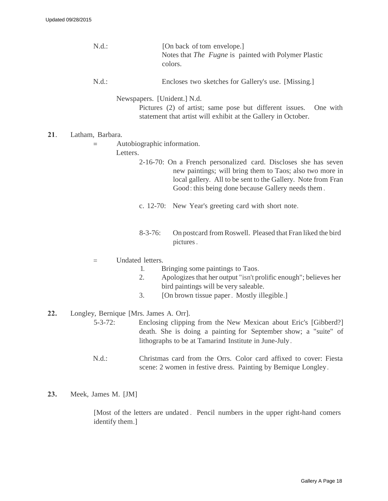|     | $N.d.$ :                                                 | [On back of tom envelope.]<br>Notes that <i>The Fugne</i> is painted with Polymer Plastic<br>colors.                                                                                                                                             |
|-----|----------------------------------------------------------|--------------------------------------------------------------------------------------------------------------------------------------------------------------------------------------------------------------------------------------------------|
|     | $N.d.$ :                                                 | Encloses two sketches for Gallery's use. [Missing.]                                                                                                                                                                                              |
|     |                                                          | Newspapers. [Unident.] N.d.<br>Pictures (2) of artist; same pose but different issues.<br>One with                                                                                                                                               |
|     |                                                          | statement that artist will exhibit at the Gallery in October.                                                                                                                                                                                    |
| 21. | Latham, Barbara.                                         |                                                                                                                                                                                                                                                  |
|     | $=$<br>Letters.                                          | Autobiographic information.                                                                                                                                                                                                                      |
|     |                                                          | 2-16-70: On a French personalized card. Discloses she has seven<br>new paintings; will bring them to Taos; also two more in<br>local gallery. All to be sent to the Gallery. Note from Fran<br>Good: this being done because Gallery needs them. |
|     |                                                          | c. 12-70: New Year's greeting card with short note.                                                                                                                                                                                              |
|     |                                                          | $8 - 3 - 76$ :<br>On postcard from Roswell. Pleased that Fran liked the bird<br>pictures.                                                                                                                                                        |
|     | $=$                                                      | Undated letters.                                                                                                                                                                                                                                 |
|     |                                                          | Bringing some paintings to Taos.<br>1.<br>2.<br>Apologizes that her output "isn't prolific enough"; believes her<br>bird paintings will be very saleable.<br>3.<br>[On brown tissue paper. Mostly illegible.]                                    |
|     |                                                          |                                                                                                                                                                                                                                                  |
| 22. | Longley, Bernique [Mrs. James A. Orr].<br>$5 - 3 - 72$ : | Enclosing clipping from the New Mexican about Eric's [Gibberd?]<br>death. She is doing a painting for September show; a "suite" of<br>lithographs to be at Tamarind Institute in June-July.                                                      |
|     | $N.d.$ :                                                 | Christmas card from the Orrs. Color card affixed to cover: Fiesta<br>scene: 2 women in festive dress. Painting by Bemique Longley.                                                                                                               |
| 23. | Meek, James M. [JM]                                      |                                                                                                                                                                                                                                                  |
|     |                                                          | [Most of the letters are undated. Pencil numbers in the upper right-hand comers                                                                                                                                                                  |

identify them.]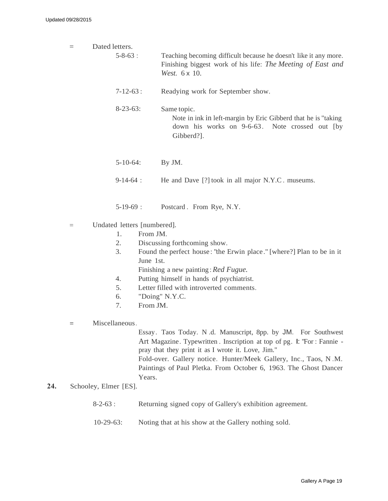| $=$ | Dated letters.              |                                                                                                                                                  |  |  |  |
|-----|-----------------------------|--------------------------------------------------------------------------------------------------------------------------------------------------|--|--|--|
|     | $5 - 8 - 63$ :              | Teaching becoming difficult because he doesn't like it any more.<br>Finishing biggest work of his life: The Meeting of East and<br>West. 6 x 10. |  |  |  |
|     | $7 - 12 - 63$ :             | Readying work for September show.                                                                                                                |  |  |  |
|     | $8-23-63$ :                 | Same topic.<br>Note in ink in left-margin by Eric Gibberd that he is "taking"<br>down his works on 9-6-63. Note crossed out [by<br>Gibberd?].    |  |  |  |
|     | $5 - 10 - 64$ :             | By JM.                                                                                                                                           |  |  |  |
|     | $9-14-64$ :                 | He and Dave [?] took in all major N.Y.C. museums.                                                                                                |  |  |  |
|     | $5-19-69$ :                 | Postcard. From Rye, N.Y.                                                                                                                         |  |  |  |
| $=$ | Undated letters [numbered]. |                                                                                                                                                  |  |  |  |
|     | From JM.<br>$\mathbf{1}$ .  |                                                                                                                                                  |  |  |  |
|     | 2.                          | Discussing forthcoming show.                                                                                                                     |  |  |  |
|     |                             |                                                                                                                                                  |  |  |  |

- 3. Found the perfect house : "the Erwin place." [where?] Plan to be in it June 1st.
	- Finishing a new painting : *Red Fugue.*
- 4. Putting himself in hands of psychiatrist.
- 5. Letter filled with introverted comments.
- 6. "Doing" N.Y.C.
- 7. From JM.
- = Miscellaneous .

Essay. Taos Today. N .d. Manuscript, 8pp. by JM. For Southwest Art Magazine. Typewritten . Inscription at top of pg. I: "For : Fannie pray that they print it as I wrote it. Love, Jim." Fold-over. Gallery notice. Hunter/Meek Gallery, Inc., Taos, N .M. Paintings of Paul Pletka. From October 6, 1963. The Ghost Dancer Years.

- **24.** Schooley, Elmer [ES].
	- 8-2-63 : Returning signed copy of Gallery's exhibition agreement.
	- 10-29-63: Noting that at his show at the Gallery nothing sold.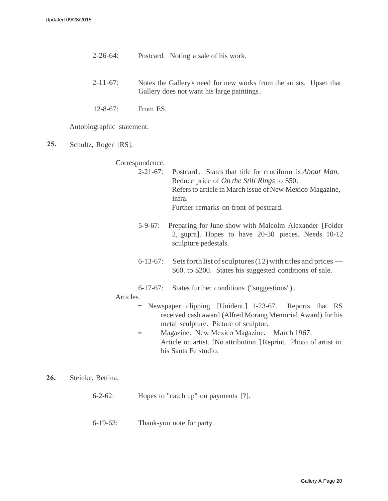- 2-26-64: Postcard. Noting a sale of his work.
- 2-11-67: Notes the Gallery's need for new works from the artists. Upset that Gallery does not want his large paintings.
- 12-8-67: From ES.

Autobiographic statement.

**25.** Schultz, Roger [RS].

Correspondence.

- 2-21-67: Postcard . States that title for cruciform is *About Man.* Reduce price of *On the Still Rings* to \$50. Refers to article in March issue of New Mexico Magazine, infra. Further remarks on front of postcard.
- 5-9-67: Preparing for June show with Malcolm Alexander [Folder 2, supra]. Hopes to have 20-30 pieces. Needs 10-12 sculpture pedestals.
- 6-13-67: Sets forth list of sculptures  $(12)$  with titles and prices \$60. to \$200. States his suggested conditions of sale.
- 6-17-67: States further conditions ("suggestions") .

## Articles .

- = Newspaper clipping. [Unident.] 1-23-67. Reports that RS received cash award (Alfred Morang Memorial Award) for his metal sculpture. Picture of sculptor.
- = Magazine. New Mexico Magazine. March 1967. Article on artist. [No attribution .] Reprint. Photo of artist in his Santa Fe studio.

**26.** Steinke, Bettina.

- 6-2-62: Hopes to "catch up" on payments [?].
- 6-19-63: Thank-you note for party .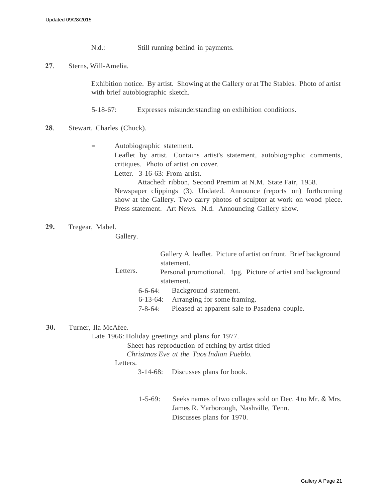N.d.: Still running behind in payments.

**27**. Sterns, Will-Amelia.

Exhibition notice. By artist. Showing at the Gallery or at The Stables. Photo of artist with brief autobiographic sketch.

5-18-67: Expresses misunderstanding on exhibition conditions.

- **28**. Stewart, Charles (Chuck).
	- = Autobiographic statement.

Leaflet by artist. Contains artist's statement, autobiographic comments, critiques. Photo of artist on cover.

Letter. 3-16-63: From artist.

Attached: ribbon, Second Premim at N.M. State Fair, 1958. Newspaper clippings (3). Undated. Announce (reports on) forthcoming show at the Gallery. Two carry photos of sculptor at work on wood piece. Press statement. Art News. N.d. Announcing Gallery show.

**29.** Tregear, Mabel.

Gallery.

|          |         | Gallery A leaflet. Picture of artist on front. Brief background |
|----------|---------|-----------------------------------------------------------------|
|          |         | statement.                                                      |
| Letters. |         | Personal promotional. 1pg. Picture of artist and background     |
|          |         | statement.                                                      |
| 6-6-64:  |         | Background statement.                                           |
|          |         | 6-13-64: Arranging for some framing.                            |
|          | 7-8-64: | Pleased at apparent sale to Pasadena couple.                    |
|          |         |                                                                 |

**30.** Turner, Ila McAfee.

Late 1966: Holiday greetings and plans for 1977.

Sheet has reproduction of etching by artist titled *Christmas Eve at the Taos Indian Pueblo.*

Letters.

3-14-68: Discusses plans for book.

1-5-69: Seeks names of two collages sold on Dec. 4 to Mr. & Mrs. James R. Yarborough, Nashville, Tenn. Discusses plans for 1970.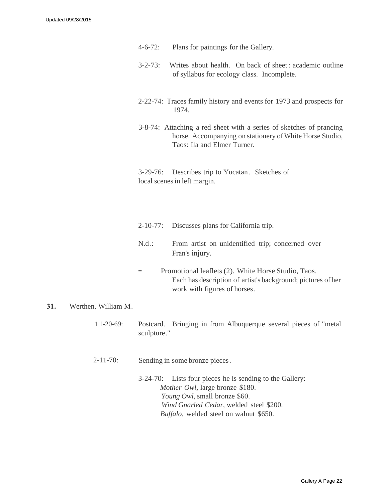- 4-6-72: Plans for paintings for the Gallery.
- 3-2-73: Writes about health. On back of sheet : academic outline of syllabus for ecology class. Incomplete.
- 2-22-74: Traces family history and events for 1973 and prospects for 1974.
- 3-8-74: Attaching a red sheet with a series of sketches of prancing horse. Accompanying on stationery of White Horse Studio, Taos: Ila and Elmer Turner.

3-29-76: Describes trip to Yucatan . Sketches of local scenes in left margin.

- 2-10-77: Discusses plans for California trip.
- N.d .: From artist on unidentified trip; concerned over Fran's injury.
- = Promotional leaflets (2). White Horse Studio, Taos. Each has description of artist's background; pictures of her work with figures of horses .

# **31.** Werthen, William M.

- 1 1-20-69: Postcard. Bringing in from Albuquerque several pieces of "metal sculpture."
- $2 11 70$ : Sending in some bronze pieces.
	- 3-24-70: Lists four pieces he is sending to the Gallery: *Mother Owl,* large bronze \$180. *Young Owl,* small bronze \$60. *Wind Gnarled Cedar,* welded steel \$200. *Buffalo,* welded steel on walnut \$650.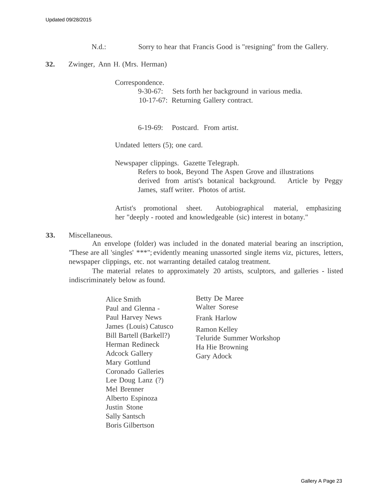N.d.: Sorry to hear that Francis Good is "resigning" from the Gallery.

#### **32.** Zwinger, Ann H. (Mrs. Herman)

Correspondence.

9-30-67: Sets forth her background in various media. 10-17-67: Returning Gallery contract.

6-19-69: Postcard. From artist.

Undated letters (5); one card.

Newspaper clippings. Gazette Telegraph. Refers to book, Beyond The Aspen Grove and illustrations derived from artist's botanical background. Article by Peggy James, staff writer. Photos of artist.

Artist's promotional sheet. Autobiographical material, emphasizing her "deeply - rooted and knowledgeable (sic) interest in botany."

#### **33.** Miscellaneous.

An envelope (folder) was included in the donated material bearing an inscription, "These are all 'singles' \*\*\*"; evidently meaning unassorted single items viz, pictures, letters, newspaper clippings, etc. not warranting detailed catalog treatment.

The material relates to approximately 20 artists, sculptors, and galleries - listed indiscriminately below as found.

> Alice Smith Paul and Glenna - Paul Harvey News James (Louis) Catusco Bill Bartell (Barkell?) Herman Redineck Adcock Gallery Mary Gottlund Coronado Galleries Lee Doug Lanz (?) Mel Brenner Alberto Espinoza Justin Stone Sally Santsch Boris Gilbertson

Betty De Maree Walter Sorese Frank Harlow Ramon Kelley Teluride Summer Workshop Ha Hie Browning Gary Adock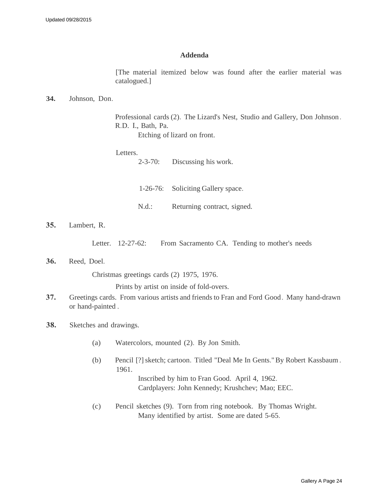#### **Addenda**

[The material itemized below was found after the earlier material was catalogued.]

#### **34.** Johnson, Don.

Professional cards (2). The Lizard's Nest, Studio and Gallery, Don Johnson . R.D. I., Bath, Pa.

Etching of lizard on front.

### Letters.

2-3-70: Discussing his work.

1-26-76: Soliciting Gallery space.

N.d.: Returning contract, signed.

**35.** Lambert, R.

Letter. 12-27-62: From Sacramento CA. Tending to mother's needs

**36.** Reed, Doel.

Christmas greetings cards (2) 1975, 1976.

Prints by artist on inside of fold-overs.

- **37.** Greetings cards. From various artists and friends to Fran and Ford Good . Many hand-drawn or hand-painted .
- **38.** Sketches and drawings.
	- (a) Watercolors, mounted (2). By Jon Smith.
	- (b) Pencil [?] sketch; cartoon. Titled "Deal Me In Gents." By Robert Kassbaum . 1961.

Inscribed by him to Fran Good. April 4, 1962. Cardplayers: John Kennedy; Krushchev; Mao; EEC.

(c) Pencil sketches (9). Torn from ring notebook. By Thomas Wright. Many identified by artist. Some are dated 5-65.